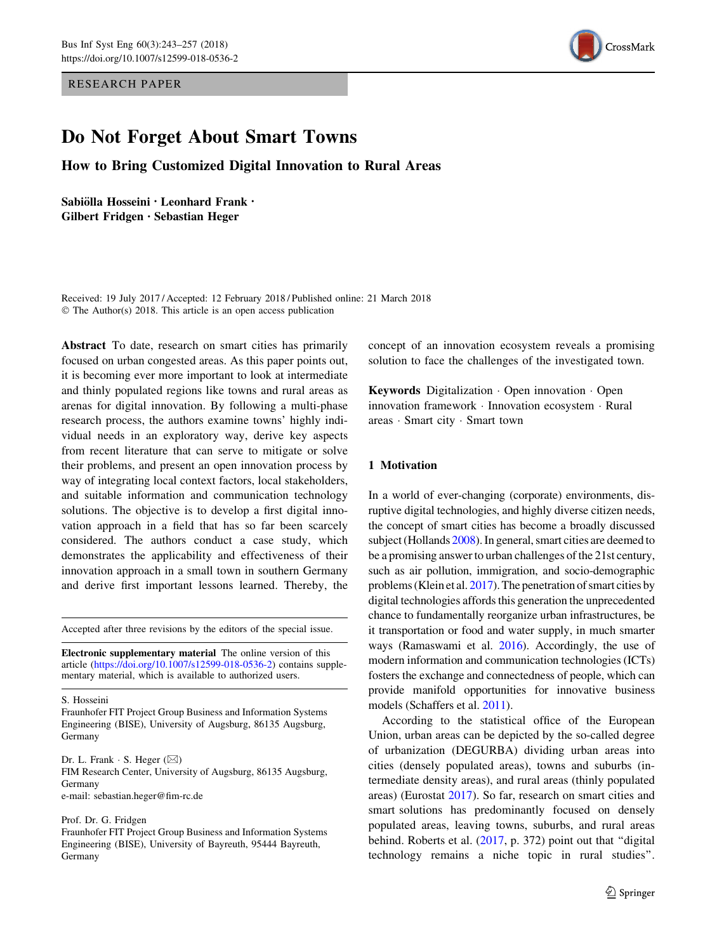# <span id="page-0-0"></span>RESEARCH PAPER



# Do Not Forget About Smart Towns

How to Bring Customized Digital Innovation to Rural Areas

Sabiölla Hosseini · Leonhard Frank · Gilbert Fridgen • Sebastian Heger

Received: 19 July 2017 / Accepted: 12 February 2018 / Published online: 21 March 2018 © The Author(s) 2018. This article is an open access publication

Abstract To date, research on smart cities has primarily focused on urban congested areas. As this paper points out, it is becoming ever more important to look at intermediate and thinly populated regions like towns and rural areas as arenas for digital innovation. By following a multi-phase research process, the authors examine towns' highly individual needs in an exploratory way, derive key aspects from recent literature that can serve to mitigate or solve their problems, and present an open innovation process by way of integrating local context factors, local stakeholders, and suitable information and communication technology solutions. The objective is to develop a first digital innovation approach in a field that has so far been scarcely considered. The authors conduct a case study, which demonstrates the applicability and effectiveness of their innovation approach in a small town in southern Germany and derive first important lessons learned. Thereby, the

Accepted after three revisions by the editors of the special issue.

Electronic supplementary material The online version of this article [\(https://doi.org/10.1007/s12599-018-0536-2](https://doi.org/10.1007/s12599-018-0536-2)) contains supplementary material, which is available to authorized users.

S. Hosseini

Fraunhofer FIT Project Group Business and Information Systems Engineering (BISE), University of Augsburg, 86135 Augsburg, Germany

Dr. L. Frank  $\cdot$  S. Heger ( $\boxtimes$ )

FIM Research Center, University of Augsburg, 86135 Augsburg, Germany e-mail: sebastian.heger@fim-rc.de

Prof. Dr. G. Fridgen

Fraunhofer FIT Project Group Business and Information Systems Engineering (BISE), University of Bayreuth, 95444 Bayreuth, Germany

concept of an innovation ecosystem reveals a promising solution to face the challenges of the investigated town.

Keywords Digitalization · Open innovation · Open innovation framework - Innovation ecosystem - Rural areas - Smart city - Smart town

# 1 Motivation

In a world of ever-changing (corporate) environments, disruptive digital technologies, and highly diverse citizen needs, the concept of smart cities has become a broadly discussed subject (Hollands [2008](#page-14-0)). In general, smart cities are deemed to be a promising answer to urban challenges of the 21st century, such as air pollution, immigration, and socio-demographic problems (Klein et al. [2017\)](#page-14-0). The penetration of smart cities by digital technologies affords this generation the unprecedented chance to fundamentally reorganize urban infrastructures, be it transportation or food and water supply, in much smarter ways (Ramaswami et al. [2016](#page-14-0)). Accordingly, the use of modern information and communication technologies (ICTs) fosters the exchange and connectedness of people, which can provide manifold opportunities for innovative business models (Schaffers et al. [2011\)](#page-14-0).

According to the statistical office of the European Union, urban areas can be depicted by the so-called degree of urbanization (DEGURBA) dividing urban areas into cities (densely populated areas), towns and suburbs (intermediate density areas), and rural areas (thinly populated areas) (Eurostat [2017\)](#page-13-0). So far, research on smart cities and smart solutions has predominantly focused on densely populated areas, leaving towns, suburbs, and rural areas behind. Roberts et al. ([2017,](#page-14-0) p. 372) point out that ''digital technology remains a niche topic in rural studies''.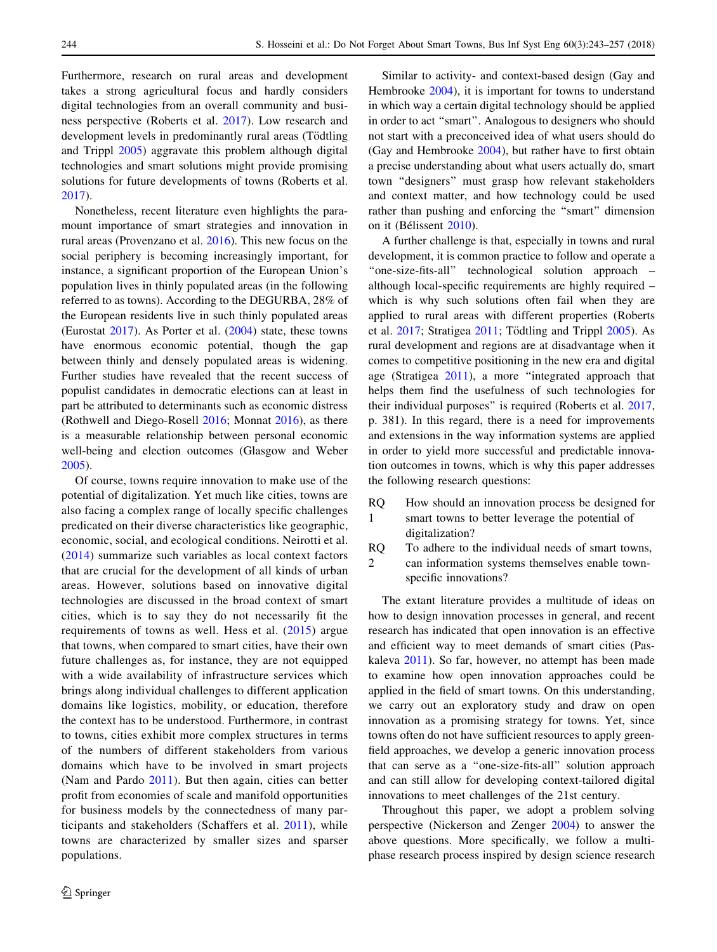Furthermore, research on rural areas and development takes a strong agricultural focus and hardly considers digital technologies from an overall community and business perspective (Roberts et al. [2017](#page-14-0)). Low research and development levels in predominantly rural areas (Tödtling and Trippl [2005](#page-14-0)) aggravate this problem although digital technologies and smart solutions might provide promising solutions for future developments of towns (Roberts et al. [2017\)](#page-14-0).

Nonetheless, recent literature even highlights the paramount importance of smart strategies and innovation in rural areas (Provenzano et al. [2016\)](#page-14-0). This new focus on the social periphery is becoming increasingly important, for instance, a significant proportion of the European Union's population lives in thinly populated areas (in the following referred to as towns). According to the DEGURBA, 28% of the European residents live in such thinly populated areas (Eurostat [2017](#page-13-0)). As Porter et al. [\(2004](#page-14-0)) state, these towns have enormous economic potential, though the gap between thinly and densely populated areas is widening. Further studies have revealed that the recent success of populist candidates in democratic elections can at least in part be attributed to determinants such as economic distress (Rothwell and Diego-Rosell [2016](#page-14-0); Monnat [2016\)](#page-14-0), as there is a measurable relationship between personal economic well-being and election outcomes (Glasgow and Weber [2005\)](#page-14-0).

Of course, towns require innovation to make use of the potential of digitalization. Yet much like cities, towns are also facing a complex range of locally specific challenges predicated on their diverse characteristics like geographic, economic, social, and ecological conditions. Neirotti et al. [\(2014\)](#page-14-0) summarize such variables as local context factors that are crucial for the development of all kinds of urban areas. However, solutions based on innovative digital technologies are discussed in the broad context of smart cities, which is to say they do not necessarily fit the requirements of towns as well. Hess et al. ([2015](#page-14-0)) argue that towns, when compared to smart cities, have their own future challenges as, for instance, they are not equipped with a wide availability of infrastructure services which brings along individual challenges to different application domains like logistics, mobility, or education, therefore the context has to be understood. Furthermore, in contrast to towns, cities exhibit more complex structures in terms of the numbers of different stakeholders from various domains which have to be involved in smart projects (Nam and Pardo [2011](#page-14-0)). But then again, cities can better profit from economies of scale and manifold opportunities for business models by the connectedness of many participants and stakeholders (Schaffers et al. [2011](#page-14-0)), while towns are characterized by smaller sizes and sparser populations.

Similar to activity- and context-based design (Gay and Hembrooke [2004\)](#page-14-0), it is important for towns to understand in which way a certain digital technology should be applied in order to act ''smart''. Analogous to designers who should not start with a preconceived idea of what users should do (Gay and Hembrooke [2004\)](#page-14-0), but rather have to first obtain a precise understanding about what users actually do, smart town ''designers'' must grasp how relevant stakeholders and context matter, and how technology could be used rather than pushing and enforcing the ''smart'' dimension on it (Bélissent [2010\)](#page-13-0).

A further challenge is that, especially in towns and rural development, it is common practice to follow and operate a ''one-size-fits-all'' technological solution approach – although local-specific requirements are highly required – which is why such solutions often fail when they are applied to rural areas with different properties (Roberts et al.  $2017$ ; Stratigea  $2011$ ; Tödtling and Trippl  $2005$ ). As rural development and regions are at disadvantage when it comes to competitive positioning in the new era and digital age (Stratigea [2011\)](#page-14-0), a more ''integrated approach that helps them find the usefulness of such technologies for their individual purposes'' is required (Roberts et al. [2017,](#page-14-0) p. 381). In this regard, there is a need for improvements and extensions in the way information systems are applied in order to yield more successful and predictable innovation outcomes in towns, which is why this paper addresses the following research questions:

- RQ 1 How should an innovation process be designed for smart towns to better leverage the potential of digitalization?
- RQ  $\mathcal{D}$ To adhere to the individual needs of smart towns, can information systems themselves enable townspecific innovations?

The extant literature provides a multitude of ideas on how to design innovation processes in general, and recent research has indicated that open innovation is an effective and efficient way to meet demands of smart cities (Paskaleva [2011\)](#page-14-0). So far, however, no attempt has been made to examine how open innovation approaches could be applied in the field of smart towns. On this understanding, we carry out an exploratory study and draw on open innovation as a promising strategy for towns. Yet, since towns often do not have sufficient resources to apply greenfield approaches, we develop a generic innovation process that can serve as a ''one-size-fits-all'' solution approach and can still allow for developing context-tailored digital innovations to meet challenges of the 21st century.

Throughout this paper, we adopt a problem solving perspective (Nickerson and Zenger [2004](#page-14-0)) to answer the above questions. More specifically, we follow a multiphase research process inspired by design science research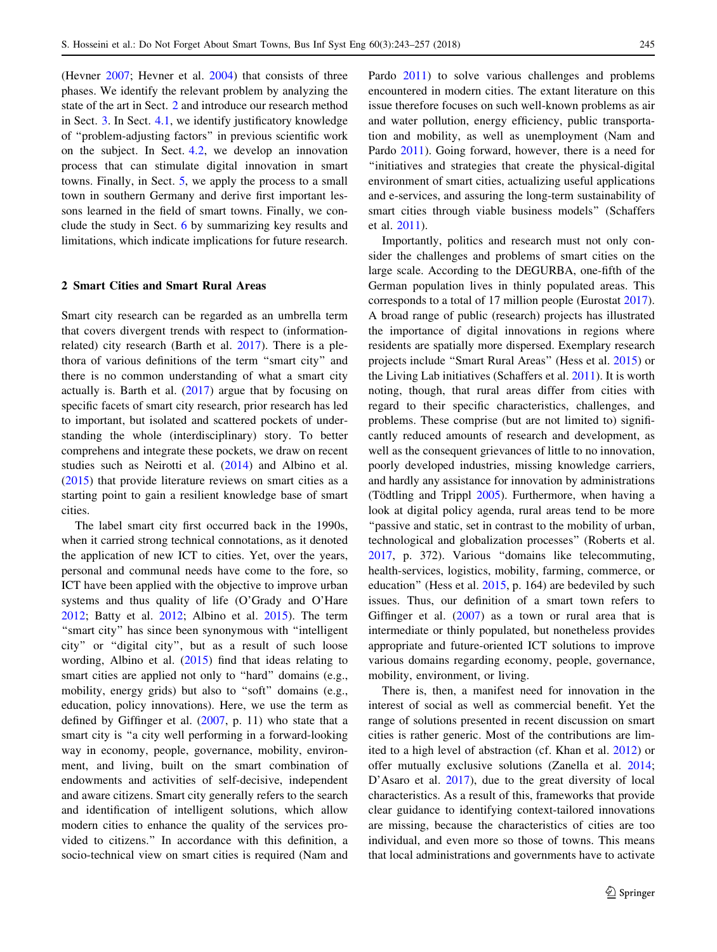(Hevner [2007;](#page-14-0) Hevner et al. [2004\)](#page-14-0) that consists of three phases. We identify the relevant problem by analyzing the state of the art in Sect. 2 and introduce our research method in Sect. [3.](#page-3-0) In Sect. [4.1](#page-4-0), we identify justificatory knowledge of ''problem-adjusting factors'' in previous scientific work on the subject. In Sect. [4.2,](#page-6-0) we develop an innovation process that can stimulate digital innovation in smart towns. Finally, in Sect. [5,](#page-8-0) we apply the process to a small town in southern Germany and derive first important lessons learned in the field of smart towns. Finally, we conclude the study in Sect. [6](#page-12-0) by summarizing key results and limitations, which indicate implications for future research.

# 2 Smart Cities and Smart Rural Areas

Smart city research can be regarded as an umbrella term that covers divergent trends with respect to (informationrelated) city research (Barth et al. [2017](#page-13-0)). There is a plethora of various definitions of the term ''smart city'' and there is no common understanding of what a smart city actually is. Barth et al.  $(2017)$  $(2017)$  argue that by focusing on specific facets of smart city research, prior research has led to important, but isolated and scattered pockets of understanding the whole (interdisciplinary) story. To better comprehens and integrate these pockets, we draw on recent studies such as Neirotti et al. ([2014\)](#page-14-0) and Albino et al. [\(2015](#page-13-0)) that provide literature reviews on smart cities as a starting point to gain a resilient knowledge base of smart cities.

The label smart city first occurred back in the 1990s, when it carried strong technical connotations, as it denoted the application of new ICT to cities. Yet, over the years, personal and communal needs have come to the fore, so ICT have been applied with the objective to improve urban systems and thus quality of life (O'Grady and O'Hare [2012;](#page-14-0) Batty et al. [2012](#page-13-0); Albino et al. [2015](#page-13-0)). The term ''smart city'' has since been synonymous with ''intelligent city'' or ''digital city'', but as a result of such loose wording, Albino et al. [\(2015](#page-13-0)) find that ideas relating to smart cities are applied not only to "hard" domains (e.g., mobility, energy grids) but also to ''soft'' domains (e.g., education, policy innovations). Here, we use the term as defined by Giffinger et al. [\(2007](#page-14-0), p. 11) who state that a smart city is "a city well performing in a forward-looking way in economy, people, governance, mobility, environment, and living, built on the smart combination of endowments and activities of self-decisive, independent and aware citizens. Smart city generally refers to the search and identification of intelligent solutions, which allow modern cities to enhance the quality of the services provided to citizens.'' In accordance with this definition, a socio-technical view on smart cities is required (Nam and Pardo [2011](#page-14-0)) to solve various challenges and problems encountered in modern cities. The extant literature on this issue therefore focuses on such well-known problems as air and water pollution, energy efficiency, public transportation and mobility, as well as unemployment (Nam and Pardo [2011\)](#page-14-0). Going forward, however, there is a need for ''initiatives and strategies that create the physical-digital environment of smart cities, actualizing useful applications and e-services, and assuring the long-term sustainability of smart cities through viable business models'' (Schaffers et al. [2011\)](#page-14-0).

Importantly, politics and research must not only consider the challenges and problems of smart cities on the large scale. According to the DEGURBA, one-fifth of the German population lives in thinly populated areas. This corresponds to a total of 17 million people (Eurostat [2017](#page-13-0)). A broad range of public (research) projects has illustrated the importance of digital innovations in regions where residents are spatially more dispersed. Exemplary research projects include ''Smart Rural Areas'' (Hess et al. [2015\)](#page-14-0) or the Living Lab initiatives (Schaffers et al. [2011](#page-14-0)). It is worth noting, though, that rural areas differ from cities with regard to their specific characteristics, challenges, and problems. These comprise (but are not limited to) significantly reduced amounts of research and development, as well as the consequent grievances of little to no innovation, poorly developed industries, missing knowledge carriers, and hardly any assistance for innovation by administrations (Tödtling and Trippl  $2005$ ). Furthermore, when having a look at digital policy agenda, rural areas tend to be more "passive and static, set in contrast to the mobility of urban, technological and globalization processes'' (Roberts et al. [2017](#page-14-0), p. 372). Various ''domains like telecommuting, health-services, logistics, mobility, farming, commerce, or education'' (Hess et al. [2015,](#page-14-0) p. 164) are bedeviled by such issues. Thus, our definition of a smart town refers to Giffinger et al. [\(2007](#page-14-0)) as a town or rural area that is intermediate or thinly populated, but nonetheless provides appropriate and future-oriented ICT solutions to improve various domains regarding economy, people, governance, mobility, environment, or living.

There is, then, a manifest need for innovation in the interest of social as well as commercial benefit. Yet the range of solutions presented in recent discussion on smart cities is rather generic. Most of the contributions are limited to a high level of abstraction (cf. Khan et al. [2012\)](#page-14-0) or offer mutually exclusive solutions (Zanella et al. [2014](#page-14-0); D'Asaro et al. [2017\)](#page-13-0), due to the great diversity of local characteristics. As a result of this, frameworks that provide clear guidance to identifying context-tailored innovations are missing, because the characteristics of cities are too individual, and even more so those of towns. This means that local administrations and governments have to activate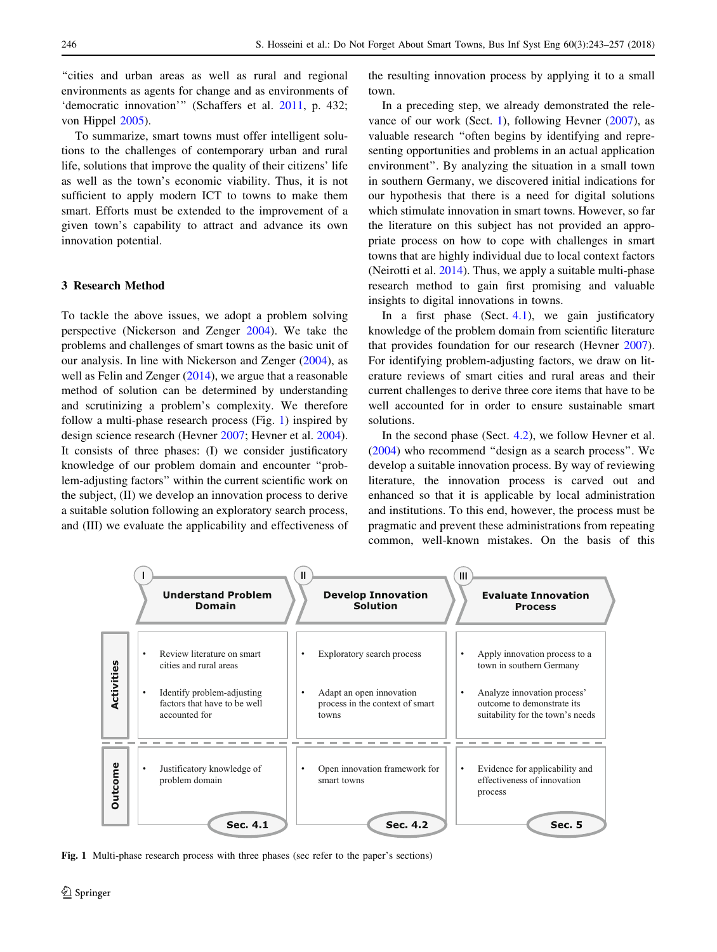<span id="page-3-0"></span>''cities and urban areas as well as rural and regional environments as agents for change and as environments of 'democratic innovation''' (Schaffers et al. [2011](#page-14-0), p. 432; von Hippel [2005\)](#page-14-0).

To summarize, smart towns must offer intelligent solutions to the challenges of contemporary urban and rural life, solutions that improve the quality of their citizens' life as well as the town's economic viability. Thus, it is not sufficient to apply modern ICT to towns to make them smart. Efforts must be extended to the improvement of a given town's capability to attract and advance its own innovation potential.

# 3 Research Method

To tackle the above issues, we adopt a problem solving perspective (Nickerson and Zenger [2004\)](#page-14-0). We take the problems and challenges of smart towns as the basic unit of our analysis. In line with Nickerson and Zenger ([2004\)](#page-14-0), as well as Felin and Zenger [\(2014](#page-14-0)), we argue that a reasonable method of solution can be determined by understanding and scrutinizing a problem's complexity. We therefore follow a multi-phase research process (Fig. 1) inspired by design science research (Hevner [2007](#page-14-0); Hevner et al. [2004](#page-14-0)). It consists of three phases: (I) we consider justificatory knowledge of our problem domain and encounter ''problem-adjusting factors'' within the current scientific work on the subject, (II) we develop an innovation process to derive a suitable solution following an exploratory search process, and (III) we evaluate the applicability and effectiveness of

the resulting innovation process by applying it to a small town.

In a preceding step, we already demonstrated the relevance of our work (Sect. [1\)](#page-0-0), following Hevner [\(2007](#page-14-0)), as valuable research ''often begins by identifying and representing opportunities and problems in an actual application environment''. By analyzing the situation in a small town in southern Germany, we discovered initial indications for our hypothesis that there is a need for digital solutions which stimulate innovation in smart towns. However, so far the literature on this subject has not provided an appropriate process on how to cope with challenges in smart towns that are highly individual due to local context factors (Neirotti et al. [2014\)](#page-14-0). Thus, we apply a suitable multi-phase research method to gain first promising and valuable insights to digital innovations in towns.

In a first phase (Sect. [4.1](#page-4-0)), we gain justificatory knowledge of the problem domain from scientific literature that provides foundation for our research (Hevner [2007](#page-14-0)). For identifying problem-adjusting factors, we draw on literature reviews of smart cities and rural areas and their current challenges to derive three core items that have to be well accounted for in order to ensure sustainable smart solutions.

In the second phase (Sect. [4.2](#page-6-0)), we follow Hevner et al. [\(2004](#page-14-0)) who recommend ''design as a search process''. We develop a suitable innovation process. By way of reviewing literature, the innovation process is carved out and enhanced so that it is applicable by local administration and institutions. To this end, however, the process must be pragmatic and prevent these administrations from repeating common, well-known mistakes. On the basis of this



Fig. 1 Multi-phase research process with three phases (sec refer to the paper's sections)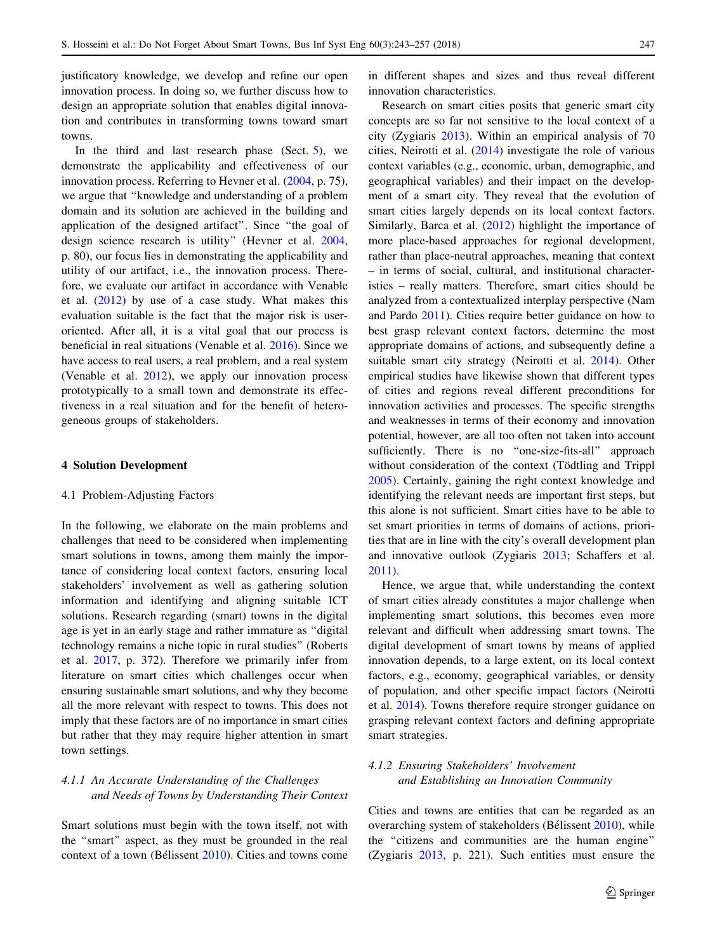<span id="page-4-0"></span>justificatory knowledge, we develop and refine our open innovation process. In doing so, we further discuss how to design an appropriate solution that enables digital innovation and contributes in transforming towns toward smart towns.

In the third and last research phase (Sect.  $5$ ), we demonstrate the applicability and effectiveness of our innovation process. Referring to Hevner et al. ([2004,](#page-14-0) p. 75), we argue that ''knowledge and understanding of a problem domain and its solution are achieved in the building and application of the designed artifact''. Since ''the goal of design science research is utility'' (Hevner et al. [2004,](#page-14-0) p. 80), our focus lies in demonstrating the applicability and utility of our artifact, i.e., the innovation process. Therefore, we evaluate our artifact in accordance with Venable et al. [\(2012](#page-14-0)) by use of a case study. What makes this evaluation suitable is the fact that the major risk is useroriented. After all, it is a vital goal that our process is beneficial in real situations (Venable et al. [2016](#page-14-0)). Since we have access to real users, a real problem, and a real system (Venable et al. [2012](#page-14-0)), we apply our innovation process prototypically to a small town and demonstrate its effectiveness in a real situation and for the benefit of heterogeneous groups of stakeholders.

#### 4 Solution Development

#### 4.1 Problem-Adjusting Factors

In the following, we elaborate on the main problems and challenges that need to be considered when implementing smart solutions in towns, among them mainly the importance of considering local context factors, ensuring local stakeholders' involvement as well as gathering solution information and identifying and aligning suitable ICT solutions. Research regarding (smart) towns in the digital age is yet in an early stage and rather immature as ''digital technology remains a niche topic in rural studies'' (Roberts et al. [2017,](#page-14-0) p. 372). Therefore we primarily infer from literature on smart cities which challenges occur when ensuring sustainable smart solutions, and why they become all the more relevant with respect to towns. This does not imply that these factors are of no importance in smart cities but rather that they may require higher attention in smart town settings.

# 4.1.1 An Accurate Understanding of the Challenges and Needs of Towns by Understanding Their Context

Smart solutions must begin with the town itself, not with the ''smart'' aspect, as they must be grounded in the real context of a town (Bélissent [2010](#page-13-0)). Cities and towns come in different shapes and sizes and thus reveal different innovation characteristics.

Research on smart cities posits that generic smart city concepts are so far not sensitive to the local context of a city (Zygiaris [2013\)](#page-14-0). Within an empirical analysis of 70 cities, Neirotti et al. ([2014\)](#page-14-0) investigate the role of various context variables (e.g., economic, urban, demographic, and geographical variables) and their impact on the development of a smart city. They reveal that the evolution of smart cities largely depends on its local context factors. Similarly, Barca et al. [\(2012](#page-13-0)) highlight the importance of more place-based approaches for regional development, rather than place-neutral approaches, meaning that context – in terms of social, cultural, and institutional characteristics – really matters. Therefore, smart cities should be analyzed from a contextualized interplay perspective (Nam and Pardo [2011](#page-14-0)). Cities require better guidance on how to best grasp relevant context factors, determine the most appropriate domains of actions, and subsequently define a suitable smart city strategy (Neirotti et al. [2014\)](#page-14-0). Other empirical studies have likewise shown that different types of cities and regions reveal different preconditions for innovation activities and processes. The specific strengths and weaknesses in terms of their economy and innovation potential, however, are all too often not taken into account sufficiently. There is no "one-size-fits-all" approach without consideration of the context (Tödtling and Trippl [2005](#page-14-0)). Certainly, gaining the right context knowledge and identifying the relevant needs are important first steps, but this alone is not sufficient. Smart cities have to be able to set smart priorities in terms of domains of actions, priorities that are in line with the city's overall development plan and innovative outlook (Zygiaris [2013](#page-14-0); Schaffers et al. [2011](#page-14-0)).

Hence, we argue that, while understanding the context of smart cities already constitutes a major challenge when implementing smart solutions, this becomes even more relevant and difficult when addressing smart towns. The digital development of smart towns by means of applied innovation depends, to a large extent, on its local context factors, e.g., economy, geographical variables, or density of population, and other specific impact factors (Neirotti et al. [2014](#page-14-0)). Towns therefore require stronger guidance on grasping relevant context factors and defining appropriate smart strategies.

# 4.1.2 Ensuring Stakeholders' Involvement and Establishing an Innovation Community

Cities and towns are entities that can be regarded as an overarching system of stakeholders (Bélissent [2010](#page-13-0)), while the ''citizens and communities are the human engine'' (Zygiaris [2013](#page-14-0), p. 221). Such entities must ensure the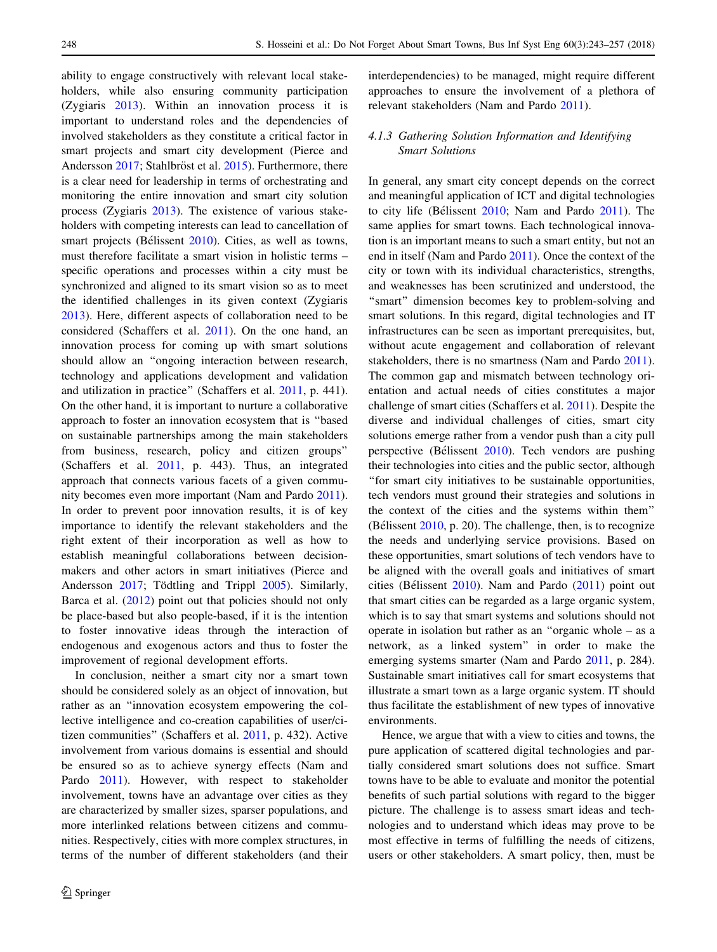ability to engage constructively with relevant local stakeholders, while also ensuring community participation (Zygiaris [2013](#page-14-0)). Within an innovation process it is important to understand roles and the dependencies of involved stakeholders as they constitute a critical factor in smart projects and smart city development (Pierce and Andersson [2017;](#page-14-0) Stahlbröst et al. [2015\)](#page-14-0). Furthermore, there is a clear need for leadership in terms of orchestrating and monitoring the entire innovation and smart city solution process (Zygiaris [2013](#page-14-0)). The existence of various stakeholders with competing interests can lead to cancellation of smart projects (Bélissent [2010](#page-13-0)). Cities, as well as towns, must therefore facilitate a smart vision in holistic terms – specific operations and processes within a city must be synchronized and aligned to its smart vision so as to meet the identified challenges in its given context (Zygiaris [2013\)](#page-14-0). Here, different aspects of collaboration need to be considered (Schaffers et al. [2011](#page-14-0)). On the one hand, an innovation process for coming up with smart solutions should allow an ''ongoing interaction between research, technology and applications development and validation and utilization in practice'' (Schaffers et al. [2011,](#page-14-0) p. 441). On the other hand, it is important to nurture a collaborative approach to foster an innovation ecosystem that is ''based on sustainable partnerships among the main stakeholders from business, research, policy and citizen groups'' (Schaffers et al. [2011,](#page-14-0) p. 443). Thus, an integrated approach that connects various facets of a given community becomes even more important (Nam and Pardo [2011](#page-14-0)). In order to prevent poor innovation results, it is of key importance to identify the relevant stakeholders and the right extent of their incorporation as well as how to establish meaningful collaborations between decisionmakers and other actors in smart initiatives (Pierce and Andersson [2017](#page-14-0); Tödtling and Trippl [2005\)](#page-14-0). Similarly, Barca et al. [\(2012](#page-13-0)) point out that policies should not only be place-based but also people-based, if it is the intention to foster innovative ideas through the interaction of endogenous and exogenous actors and thus to foster the improvement of regional development efforts.

In conclusion, neither a smart city nor a smart town should be considered solely as an object of innovation, but rather as an ''innovation ecosystem empowering the collective intelligence and co-creation capabilities of user/citizen communities'' (Schaffers et al. [2011](#page-14-0), p. 432). Active involvement from various domains is essential and should be ensured so as to achieve synergy effects (Nam and Pardo [2011\)](#page-14-0). However, with respect to stakeholder involvement, towns have an advantage over cities as they are characterized by smaller sizes, sparser populations, and more interlinked relations between citizens and communities. Respectively, cities with more complex structures, in terms of the number of different stakeholders (and their interdependencies) to be managed, might require different approaches to ensure the involvement of a plethora of relevant stakeholders (Nam and Pardo [2011\)](#page-14-0).

# 4.1.3 Gathering Solution Information and Identifying Smart Solutions

In general, any smart city concept depends on the correct and meaningful application of ICT and digital technologies to city life (Bélissent [2010](#page-13-0); Nam and Pardo [2011](#page-14-0)). The same applies for smart towns. Each technological innovation is an important means to such a smart entity, but not an end in itself (Nam and Pardo [2011](#page-14-0)). Once the context of the city or town with its individual characteristics, strengths, and weaknesses has been scrutinized and understood, the ''smart'' dimension becomes key to problem-solving and smart solutions. In this regard, digital technologies and IT infrastructures can be seen as important prerequisites, but, without acute engagement and collaboration of relevant stakeholders, there is no smartness (Nam and Pardo [2011](#page-14-0)). The common gap and mismatch between technology orientation and actual needs of cities constitutes a major challenge of smart cities (Schaffers et al. [2011\)](#page-14-0). Despite the diverse and individual challenges of cities, smart city solutions emerge rather from a vendor push than a city pull perspective (Bélissent [2010](#page-13-0)). Tech vendors are pushing their technologies into cities and the public sector, although ''for smart city initiatives to be sustainable opportunities, tech vendors must ground their strategies and solutions in the context of the cities and the systems within them'' (Bélissent  $2010$ , p. 20). The challenge, then, is to recognize the needs and underlying service provisions. Based on these opportunities, smart solutions of tech vendors have to be aligned with the overall goals and initiatives of smart cities (Bélissent [2010\)](#page-13-0). Nam and Pardo [\(2011](#page-14-0)) point out that smart cities can be regarded as a large organic system, which is to say that smart systems and solutions should not operate in isolation but rather as an ''organic whole – as a network, as a linked system'' in order to make the emerging systems smarter (Nam and Pardo [2011,](#page-14-0) p. 284). Sustainable smart initiatives call for smart ecosystems that illustrate a smart town as a large organic system. IT should thus facilitate the establishment of new types of innovative environments.

Hence, we argue that with a view to cities and towns, the pure application of scattered digital technologies and partially considered smart solutions does not suffice. Smart towns have to be able to evaluate and monitor the potential benefits of such partial solutions with regard to the bigger picture. The challenge is to assess smart ideas and technologies and to understand which ideas may prove to be most effective in terms of fulfilling the needs of citizens, users or other stakeholders. A smart policy, then, must be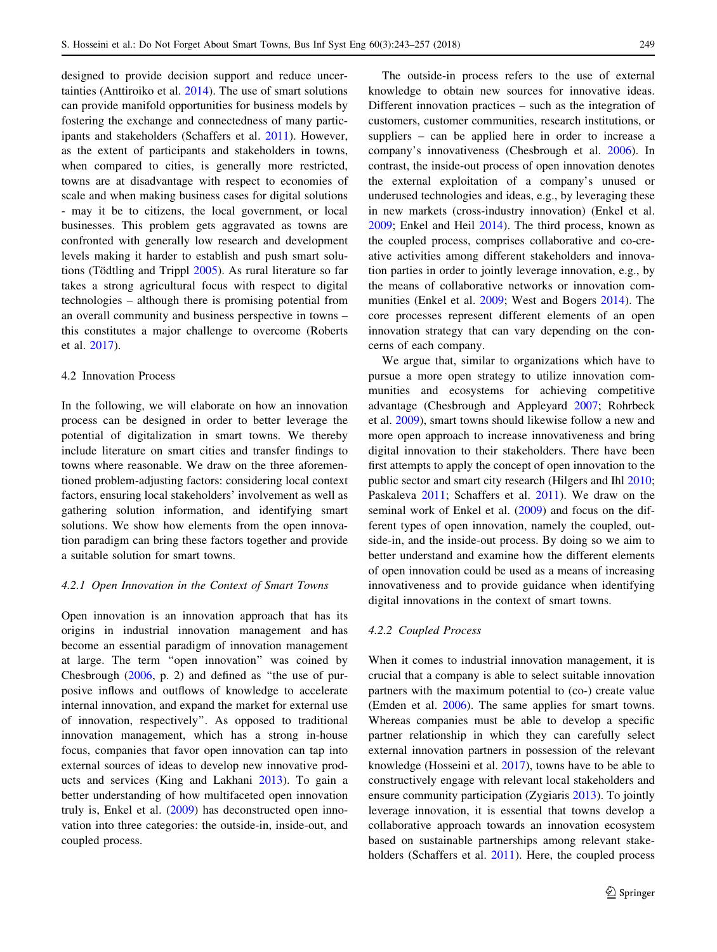<span id="page-6-0"></span>designed to provide decision support and reduce uncertainties (Anttiroiko et al. [2014](#page-13-0)). The use of smart solutions can provide manifold opportunities for business models by fostering the exchange and connectedness of many participants and stakeholders (Schaffers et al. [2011](#page-14-0)). However, as the extent of participants and stakeholders in towns, when compared to cities, is generally more restricted, towns are at disadvantage with respect to economies of scale and when making business cases for digital solutions - may it be to citizens, the local government, or local businesses. This problem gets aggravated as towns are confronted with generally low research and development levels making it harder to establish and push smart solutions (Tödtling and Trippl  $2005$ ). As rural literature so far takes a strong agricultural focus with respect to digital technologies – although there is promising potential from an overall community and business perspective in towns – this constitutes a major challenge to overcome (Roberts et al. [2017\)](#page-14-0).

### 4.2 Innovation Process

In the following, we will elaborate on how an innovation process can be designed in order to better leverage the potential of digitalization in smart towns. We thereby include literature on smart cities and transfer findings to towns where reasonable. We draw on the three aforementioned problem-adjusting factors: considering local context factors, ensuring local stakeholders' involvement as well as gathering solution information, and identifying smart solutions. We show how elements from the open innovation paradigm can bring these factors together and provide a suitable solution for smart towns.

# 4.2.1 Open Innovation in the Context of Smart Towns

Open innovation is an innovation approach that has its origins in industrial innovation management and has become an essential paradigm of innovation management at large. The term ''open innovation'' was coined by Chesbrough ([2006,](#page-13-0) p. 2) and defined as ''the use of purposive inflows and outflows of knowledge to accelerate internal innovation, and expand the market for external use of innovation, respectively''. As opposed to traditional innovation management, which has a strong in-house focus, companies that favor open innovation can tap into external sources of ideas to develop new innovative products and services (King and Lakhani [2013](#page-14-0)). To gain a better understanding of how multifaceted open innovation truly is, Enkel et al. [\(2009](#page-13-0)) has deconstructed open innovation into three categories: the outside-in, inside-out, and coupled process.

The outside-in process refers to the use of external knowledge to obtain new sources for innovative ideas. Different innovation practices – such as the integration of customers, customer communities, research institutions, or suppliers – can be applied here in order to increase a company's innovativeness (Chesbrough et al. [2006\)](#page-13-0). In contrast, the inside-out process of open innovation denotes the external exploitation of a company's unused or underused technologies and ideas, e.g., by leveraging these in new markets (cross-industry innovation) (Enkel et al. [2009](#page-13-0); Enkel and Heil [2014](#page-13-0)). The third process, known as the coupled process, comprises collaborative and co-creative activities among different stakeholders and innovation parties in order to jointly leverage innovation, e.g., by the means of collaborative networks or innovation communities (Enkel et al. [2009;](#page-13-0) West and Bogers [2014](#page-14-0)). The core processes represent different elements of an open innovation strategy that can vary depending on the concerns of each company.

We argue that, similar to organizations which have to pursue a more open strategy to utilize innovation communities and ecosystems for achieving competitive advantage (Chesbrough and Appleyard [2007](#page-13-0); Rohrbeck et al. [2009\)](#page-14-0), smart towns should likewise follow a new and more open approach to increase innovativeness and bring digital innovation to their stakeholders. There have been first attempts to apply the concept of open innovation to the public sector and smart city research (Hilgers and Ihl [2010](#page-14-0); Paskaleva [2011](#page-14-0); Schaffers et al. [2011](#page-14-0)). We draw on the seminal work of Enkel et al. ([2009\)](#page-13-0) and focus on the different types of open innovation, namely the coupled, outside-in, and the inside-out process. By doing so we aim to better understand and examine how the different elements of open innovation could be used as a means of increasing innovativeness and to provide guidance when identifying digital innovations in the context of smart towns.

#### 4.2.2 Coupled Process

When it comes to industrial innovation management, it is crucial that a company is able to select suitable innovation partners with the maximum potential to (co-) create value (Emden et al. [2006\)](#page-13-0). The same applies for smart towns. Whereas companies must be able to develop a specific partner relationship in which they can carefully select external innovation partners in possession of the relevant knowledge (Hosseini et al. [2017\)](#page-14-0), towns have to be able to constructively engage with relevant local stakeholders and ensure community participation (Zygiaris [2013\)](#page-14-0). To jointly leverage innovation, it is essential that towns develop a collaborative approach towards an innovation ecosystem based on sustainable partnerships among relevant stake-holders (Schaffers et al. [2011](#page-14-0)). Here, the coupled process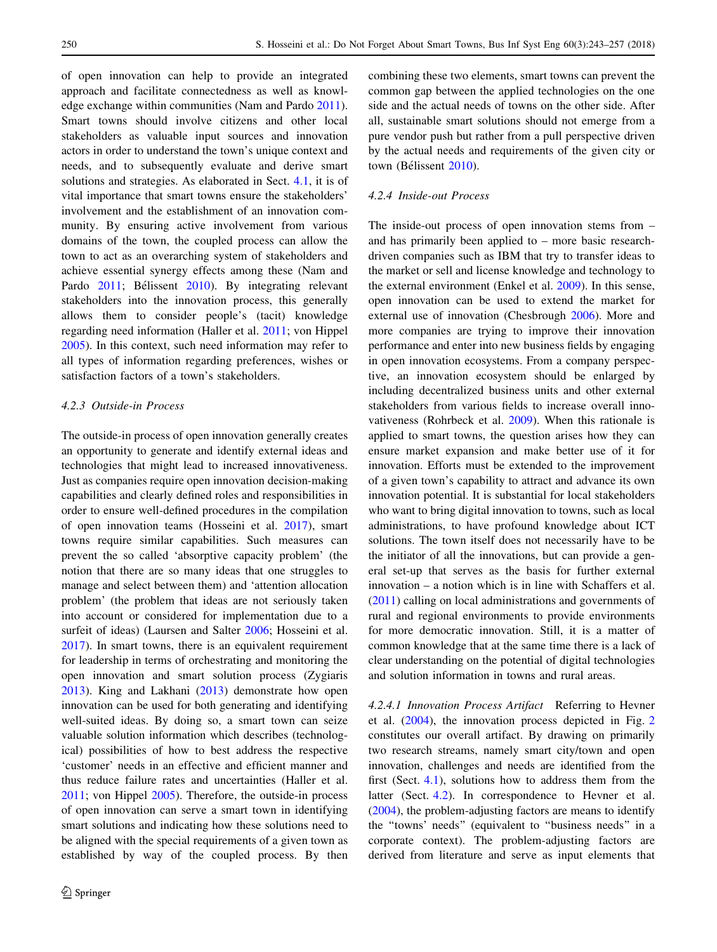of open innovation can help to provide an integrated approach and facilitate connectedness as well as knowledge exchange within communities (Nam and Pardo [2011](#page-14-0)). Smart towns should involve citizens and other local stakeholders as valuable input sources and innovation actors in order to understand the town's unique context and needs, and to subsequently evaluate and derive smart solutions and strategies. As elaborated in Sect. [4.1,](#page-4-0) it is of vital importance that smart towns ensure the stakeholders' involvement and the establishment of an innovation community. By ensuring active involvement from various domains of the town, the coupled process can allow the town to act as an overarching system of stakeholders and achieve essential synergy effects among these (Nam and Pardo [2011](#page-14-0); Bélissent [2010\)](#page-13-0). By integrating relevant stakeholders into the innovation process, this generally allows them to consider people's (tacit) knowledge regarding need information (Haller et al. [2011](#page-14-0); von Hippel [2005\)](#page-14-0). In this context, such need information may refer to all types of information regarding preferences, wishes or satisfaction factors of a town's stakeholders.

#### 4.2.3 Outside-in Process

The outside-in process of open innovation generally creates an opportunity to generate and identify external ideas and technologies that might lead to increased innovativeness. Just as companies require open innovation decision-making capabilities and clearly defined roles and responsibilities in order to ensure well-defined procedures in the compilation of open innovation teams (Hosseini et al. [2017\)](#page-14-0), smart towns require similar capabilities. Such measures can prevent the so called 'absorptive capacity problem' (the notion that there are so many ideas that one struggles to manage and select between them) and 'attention allocation problem' (the problem that ideas are not seriously taken into account or considered for implementation due to a surfeit of ideas) (Laursen and Salter [2006;](#page-14-0) Hosseini et al. [2017\)](#page-14-0). In smart towns, there is an equivalent requirement for leadership in terms of orchestrating and monitoring the open innovation and smart solution process (Zygiaris [2013\)](#page-14-0). King and Lakhani [\(2013](#page-14-0)) demonstrate how open innovation can be used for both generating and identifying well-suited ideas. By doing so, a smart town can seize valuable solution information which describes (technological) possibilities of how to best address the respective 'customer' needs in an effective and efficient manner and thus reduce failure rates and uncertainties (Haller et al. [2011;](#page-14-0) von Hippel [2005\)](#page-14-0). Therefore, the outside-in process of open innovation can serve a smart town in identifying smart solutions and indicating how these solutions need to be aligned with the special requirements of a given town as established by way of the coupled process. By then combining these two elements, smart towns can prevent the common gap between the applied technologies on the one side and the actual needs of towns on the other side. After all, sustainable smart solutions should not emerge from a pure vendor push but rather from a pull perspective driven by the actual needs and requirements of the given city or town (Bélissent [2010\)](#page-13-0).

# 4.2.4 Inside-out Process

The inside-out process of open innovation stems from – and has primarily been applied to – more basic researchdriven companies such as IBM that try to transfer ideas to the market or sell and license knowledge and technology to the external environment (Enkel et al. [2009\)](#page-13-0). In this sense, open innovation can be used to extend the market for external use of innovation (Chesbrough [2006](#page-13-0)). More and more companies are trying to improve their innovation performance and enter into new business fields by engaging in open innovation ecosystems. From a company perspective, an innovation ecosystem should be enlarged by including decentralized business units and other external stakeholders from various fields to increase overall innovativeness (Rohrbeck et al. [2009\)](#page-14-0). When this rationale is applied to smart towns, the question arises how they can ensure market expansion and make better use of it for innovation. Efforts must be extended to the improvement of a given town's capability to attract and advance its own innovation potential. It is substantial for local stakeholders who want to bring digital innovation to towns, such as local administrations, to have profound knowledge about ICT solutions. The town itself does not necessarily have to be the initiator of all the innovations, but can provide a general set-up that serves as the basis for further external innovation – a notion which is in line with Schaffers et al. [\(2011](#page-14-0)) calling on local administrations and governments of rural and regional environments to provide environments for more democratic innovation. Still, it is a matter of common knowledge that at the same time there is a lack of clear understanding on the potential of digital technologies and solution information in towns and rural areas.

4.2.4.1 Innovation Process Artifact Referring to Hevner et al. ([2004\)](#page-14-0), the innovation process depicted in Fig. [2](#page-8-0) constitutes our overall artifact. By drawing on primarily two research streams, namely smart city/town and open innovation, challenges and needs are identified from the first (Sect. [4.1\)](#page-4-0), solutions how to address them from the latter (Sect. [4.2](#page-6-0)). In correspondence to Hevner et al. [\(2004](#page-14-0)), the problem-adjusting factors are means to identify the ''towns' needs'' (equivalent to ''business needs'' in a corporate context). The problem-adjusting factors are derived from literature and serve as input elements that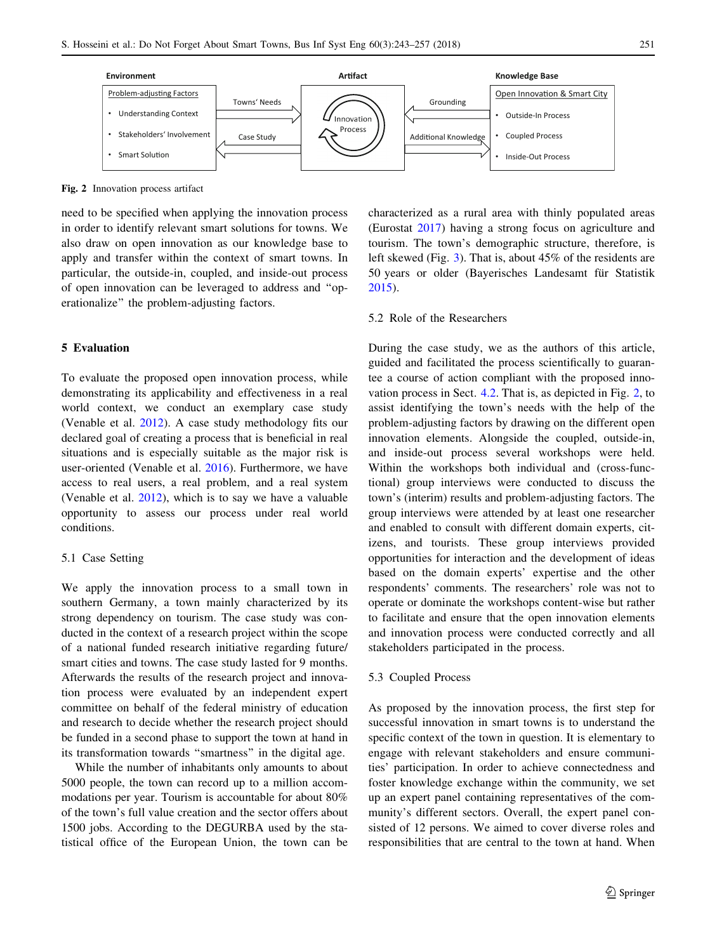<span id="page-8-0"></span>

Fig. 2 Innovation process artifact

need to be specified when applying the innovation process in order to identify relevant smart solutions for towns. We also draw on open innovation as our knowledge base to apply and transfer within the context of smart towns. In particular, the outside-in, coupled, and inside-out process of open innovation can be leveraged to address and ''operationalize'' the problem-adjusting factors.

# 5 Evaluation

To evaluate the proposed open innovation process, while demonstrating its applicability and effectiveness in a real world context, we conduct an exemplary case study (Venable et al. [2012](#page-14-0)). A case study methodology fits our declared goal of creating a process that is beneficial in real situations and is especially suitable as the major risk is user-oriented (Venable et al. [2016\)](#page-14-0). Furthermore, we have access to real users, a real problem, and a real system (Venable et al. [2012\)](#page-14-0), which is to say we have a valuable opportunity to assess our process under real world conditions.

# 5.1 Case Setting

We apply the innovation process to a small town in southern Germany, a town mainly characterized by its strong dependency on tourism. The case study was conducted in the context of a research project within the scope of a national funded research initiative regarding future/ smart cities and towns. The case study lasted for 9 months. Afterwards the results of the research project and innovation process were evaluated by an independent expert committee on behalf of the federal ministry of education and research to decide whether the research project should be funded in a second phase to support the town at hand in its transformation towards ''smartness'' in the digital age.

While the number of inhabitants only amounts to about 5000 people, the town can record up to a million accommodations per year. Tourism is accountable for about 80% of the town's full value creation and the sector offers about 1500 jobs. According to the DEGURBA used by the statistical office of the European Union, the town can be characterized as a rural area with thinly populated areas (Eurostat [2017\)](#page-13-0) having a strong focus on agriculture and tourism. The town's demographic structure, therefore, is left skewed (Fig. [3\)](#page-9-0). That is, about 45% of the residents are 50 years or older (Bayerisches Landesamt für Statistik [2015](#page-13-0)).

# 5.2 Role of the Researchers

During the case study, we as the authors of this article, guided and facilitated the process scientifically to guarantee a course of action compliant with the proposed innovation process in Sect. [4.2](#page-6-0). That is, as depicted in Fig. 2, to assist identifying the town's needs with the help of the problem-adjusting factors by drawing on the different open innovation elements. Alongside the coupled, outside-in, and inside-out process several workshops were held. Within the workshops both individual and (cross-functional) group interviews were conducted to discuss the town's (interim) results and problem-adjusting factors. The group interviews were attended by at least one researcher and enabled to consult with different domain experts, citizens, and tourists. These group interviews provided opportunities for interaction and the development of ideas based on the domain experts' expertise and the other respondents' comments. The researchers' role was not to operate or dominate the workshops content-wise but rather to facilitate and ensure that the open innovation elements and innovation process were conducted correctly and all stakeholders participated in the process.

#### 5.3 Coupled Process

As proposed by the innovation process, the first step for successful innovation in smart towns is to understand the specific context of the town in question. It is elementary to engage with relevant stakeholders and ensure communities' participation. In order to achieve connectedness and foster knowledge exchange within the community, we set up an expert panel containing representatives of the community's different sectors. Overall, the expert panel consisted of 12 persons. We aimed to cover diverse roles and responsibilities that are central to the town at hand. When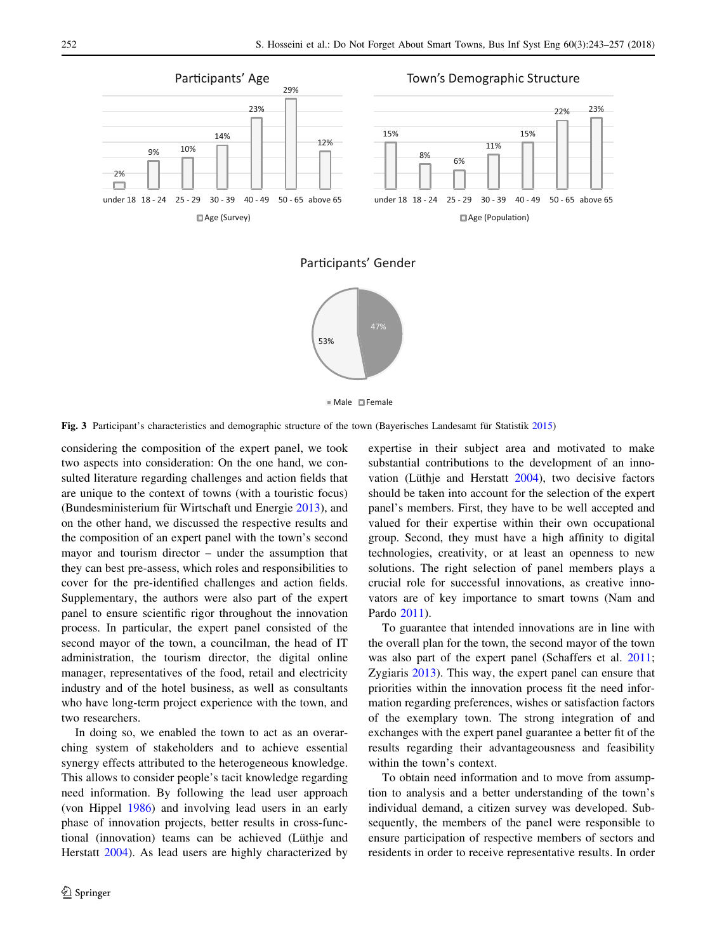<span id="page-9-0"></span>

Participants' Gender





Fig. 3 Participant's characteristics and demographic structure of the town (Bayerisches Landesamt für Statistik [2015](#page-13-0))

considering the composition of the expert panel, we took two aspects into consideration: On the one hand, we consulted literature regarding challenges and action fields that are unique to the context of towns (with a touristic focus) (Bundesministerium für Wirtschaft und Energie [2013](#page-13-0)), and on the other hand, we discussed the respective results and the composition of an expert panel with the town's second mayor and tourism director – under the assumption that they can best pre-assess, which roles and responsibilities to cover for the pre-identified challenges and action fields. Supplementary, the authors were also part of the expert panel to ensure scientific rigor throughout the innovation process. In particular, the expert panel consisted of the second mayor of the town, a councilman, the head of IT administration, the tourism director, the digital online manager, representatives of the food, retail and electricity industry and of the hotel business, as well as consultants who have long-term project experience with the town, and two researchers.

In doing so, we enabled the town to act as an overarching system of stakeholders and to achieve essential synergy effects attributed to the heterogeneous knowledge. This allows to consider people's tacit knowledge regarding need information. By following the lead user approach (von Hippel [1986\)](#page-14-0) and involving lead users in an early phase of innovation projects, better results in cross-functional (innovation) teams can be achieved (Lüthje and Herstatt [2004\)](#page-14-0). As lead users are highly characterized by expertise in their subject area and motivated to make substantial contributions to the development of an inno-vation (Lüthje and Herstatt [2004\)](#page-14-0), two decisive factors should be taken into account for the selection of the expert panel's members. First, they have to be well accepted and valued for their expertise within their own occupational group. Second, they must have a high affinity to digital technologies, creativity, or at least an openness to new solutions. The right selection of panel members plays a crucial role for successful innovations, as creative innovators are of key importance to smart towns (Nam and Pardo [2011\)](#page-14-0).

To guarantee that intended innovations are in line with the overall plan for the town, the second mayor of the town was also part of the expert panel (Schaffers et al. [2011](#page-14-0); Zygiaris [2013\)](#page-14-0). This way, the expert panel can ensure that priorities within the innovation process fit the need information regarding preferences, wishes or satisfaction factors of the exemplary town. The strong integration of and exchanges with the expert panel guarantee a better fit of the results regarding their advantageousness and feasibility within the town's context.

To obtain need information and to move from assumption to analysis and a better understanding of the town's individual demand, a citizen survey was developed. Subsequently, the members of the panel were responsible to ensure participation of respective members of sectors and residents in order to receive representative results. In order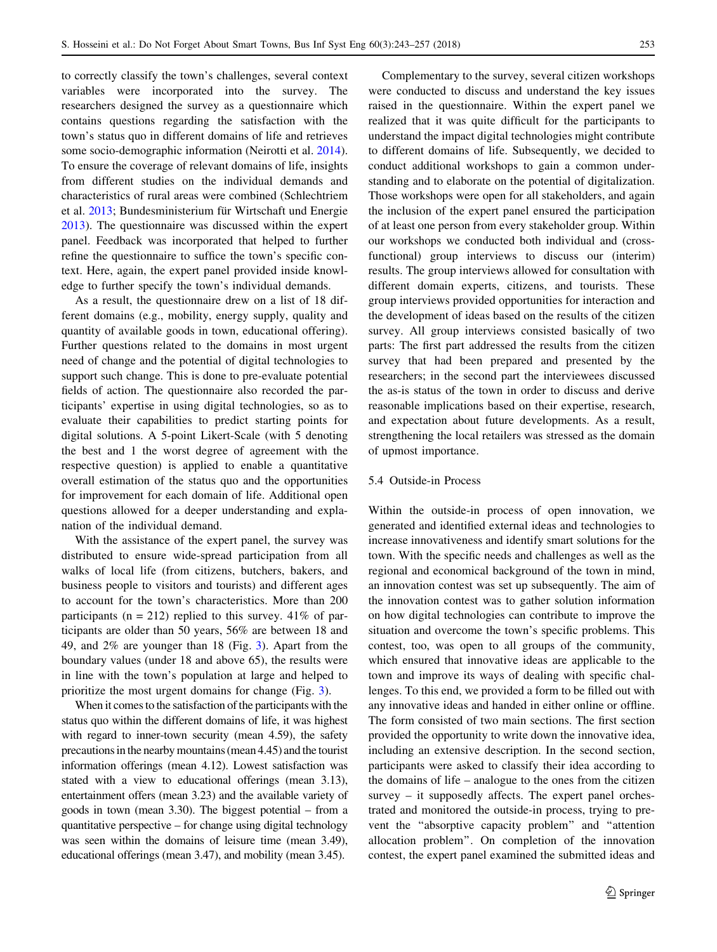to correctly classify the town's challenges, several context variables were incorporated into the survey. The researchers designed the survey as a questionnaire which contains questions regarding the satisfaction with the town's status quo in different domains of life and retrieves some socio-demographic information (Neirotti et al. [2014](#page-14-0)). To ensure the coverage of relevant domains of life, insights from different studies on the individual demands and characteristics of rural areas were combined (Schlechtriem et al. [2013;](#page-14-0) Bundesministerium für Wirtschaft und Energie [2013\)](#page-13-0). The questionnaire was discussed within the expert panel. Feedback was incorporated that helped to further refine the questionnaire to suffice the town's specific context. Here, again, the expert panel provided inside knowledge to further specify the town's individual demands.

As a result, the questionnaire drew on a list of 18 different domains (e.g., mobility, energy supply, quality and quantity of available goods in town, educational offering). Further questions related to the domains in most urgent need of change and the potential of digital technologies to support such change. This is done to pre-evaluate potential fields of action. The questionnaire also recorded the participants' expertise in using digital technologies, so as to evaluate their capabilities to predict starting points for digital solutions. A 5-point Likert-Scale (with 5 denoting the best and 1 the worst degree of agreement with the respective question) is applied to enable a quantitative overall estimation of the status quo and the opportunities for improvement for each domain of life. Additional open questions allowed for a deeper understanding and explanation of the individual demand.

With the assistance of the expert panel, the survey was distributed to ensure wide-spread participation from all walks of local life (from citizens, butchers, bakers, and business people to visitors and tourists) and different ages to account for the town's characteristics. More than 200 participants ( $n = 212$ ) replied to this survey. 41% of participants are older than 50 years, 56% are between 18 and 49, and 2% are younger than 18 (Fig. [3](#page-9-0)). Apart from the boundary values (under 18 and above 65), the results were in line with the town's population at large and helped to prioritize the most urgent domains for change (Fig. [3\)](#page-9-0).

When it comes to the satisfaction of the participants with the status quo within the different domains of life, it was highest with regard to inner-town security (mean 4.59), the safety precautions in the nearby mountains (mean 4.45) and the tourist information offerings (mean 4.12). Lowest satisfaction was stated with a view to educational offerings (mean 3.13), entertainment offers (mean 3.23) and the available variety of goods in town (mean 3.30). The biggest potential – from a quantitative perspective – for change using digital technology was seen within the domains of leisure time (mean 3.49), educational offerings (mean 3.47), and mobility (mean 3.45).

Complementary to the survey, several citizen workshops were conducted to discuss and understand the key issues raised in the questionnaire. Within the expert panel we realized that it was quite difficult for the participants to understand the impact digital technologies might contribute to different domains of life. Subsequently, we decided to conduct additional workshops to gain a common understanding and to elaborate on the potential of digitalization. Those workshops were open for all stakeholders, and again the inclusion of the expert panel ensured the participation of at least one person from every stakeholder group. Within our workshops we conducted both individual and (crossfunctional) group interviews to discuss our (interim) results. The group interviews allowed for consultation with different domain experts, citizens, and tourists. These group interviews provided opportunities for interaction and the development of ideas based on the results of the citizen survey. All group interviews consisted basically of two parts: The first part addressed the results from the citizen survey that had been prepared and presented by the researchers; in the second part the interviewees discussed the as-is status of the town in order to discuss and derive reasonable implications based on their expertise, research, and expectation about future developments. As a result, strengthening the local retailers was stressed as the domain of upmost importance.

# 5.4 Outside-in Process

Within the outside-in process of open innovation, we generated and identified external ideas and technologies to increase innovativeness and identify smart solutions for the town. With the specific needs and challenges as well as the regional and economical background of the town in mind, an innovation contest was set up subsequently. The aim of the innovation contest was to gather solution information on how digital technologies can contribute to improve the situation and overcome the town's specific problems. This contest, too, was open to all groups of the community, which ensured that innovative ideas are applicable to the town and improve its ways of dealing with specific challenges. To this end, we provided a form to be filled out with any innovative ideas and handed in either online or offline. The form consisted of two main sections. The first section provided the opportunity to write down the innovative idea, including an extensive description. In the second section, participants were asked to classify their idea according to the domains of life – analogue to the ones from the citizen survey – it supposedly affects. The expert panel orchestrated and monitored the outside-in process, trying to prevent the ''absorptive capacity problem'' and ''attention allocation problem''. On completion of the innovation contest, the expert panel examined the submitted ideas and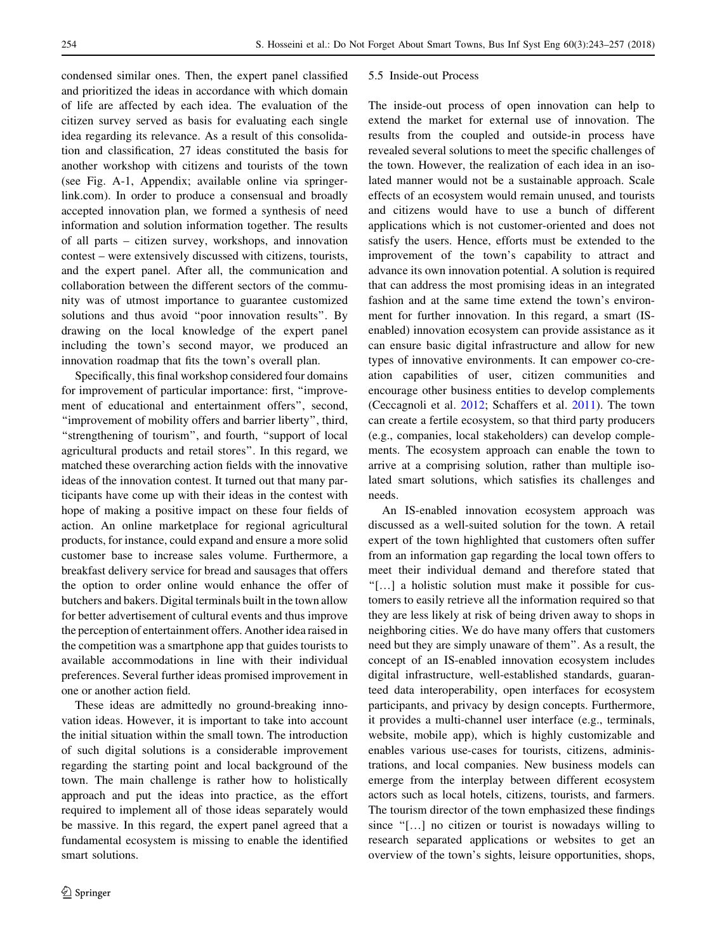condensed similar ones. Then, the expert panel classified and prioritized the ideas in accordance with which domain of life are affected by each idea. The evaluation of the citizen survey served as basis for evaluating each single idea regarding its relevance. As a result of this consolidation and classification, 27 ideas constituted the basis for another workshop with citizens and tourists of the town (see Fig. A-1, Appendix; available online via springerlink.com). In order to produce a consensual and broadly accepted innovation plan, we formed a synthesis of need information and solution information together. The results of all parts – citizen survey, workshops, and innovation contest – were extensively discussed with citizens, tourists, and the expert panel. After all, the communication and collaboration between the different sectors of the community was of utmost importance to guarantee customized solutions and thus avoid ''poor innovation results''. By drawing on the local knowledge of the expert panel including the town's second mayor, we produced an innovation roadmap that fits the town's overall plan.

Specifically, this final workshop considered four domains for improvement of particular importance: first, ''improvement of educational and entertainment offers'', second, "improvement of mobility offers and barrier liberty", third, ''strengthening of tourism'', and fourth, ''support of local agricultural products and retail stores''. In this regard, we matched these overarching action fields with the innovative ideas of the innovation contest. It turned out that many participants have come up with their ideas in the contest with hope of making a positive impact on these four fields of action. An online marketplace for regional agricultural products, for instance, could expand and ensure a more solid customer base to increase sales volume. Furthermore, a breakfast delivery service for bread and sausages that offers the option to order online would enhance the offer of butchers and bakers. Digital terminals built in the town allow for better advertisement of cultural events and thus improve the perception of entertainment offers. Another idea raised in the competition was a smartphone app that guides tourists to available accommodations in line with their individual preferences. Several further ideas promised improvement in one or another action field.

These ideas are admittedly no ground-breaking innovation ideas. However, it is important to take into account the initial situation within the small town. The introduction of such digital solutions is a considerable improvement regarding the starting point and local background of the town. The main challenge is rather how to holistically approach and put the ideas into practice, as the effort required to implement all of those ideas separately would be massive. In this regard, the expert panel agreed that a fundamental ecosystem is missing to enable the identified smart solutions.

# 5.5 Inside-out Process

The inside-out process of open innovation can help to extend the market for external use of innovation. The results from the coupled and outside-in process have revealed several solutions to meet the specific challenges of the town. However, the realization of each idea in an isolated manner would not be a sustainable approach. Scale effects of an ecosystem would remain unused, and tourists and citizens would have to use a bunch of different applications which is not customer-oriented and does not satisfy the users. Hence, efforts must be extended to the improvement of the town's capability to attract and advance its own innovation potential. A solution is required that can address the most promising ideas in an integrated fashion and at the same time extend the town's environment for further innovation. In this regard, a smart (ISenabled) innovation ecosystem can provide assistance as it can ensure basic digital infrastructure and allow for new types of innovative environments. It can empower co-creation capabilities of user, citizen communities and encourage other business entities to develop complements (Ceccagnoli et al. [2012;](#page-13-0) Schaffers et al. [2011](#page-14-0)). The town can create a fertile ecosystem, so that third party producers (e.g., companies, local stakeholders) can develop complements. The ecosystem approach can enable the town to arrive at a comprising solution, rather than multiple isolated smart solutions, which satisfies its challenges and needs.

An IS-enabled innovation ecosystem approach was discussed as a well-suited solution for the town. A retail expert of the town highlighted that customers often suffer from an information gap regarding the local town offers to meet their individual demand and therefore stated that ''[…] a holistic solution must make it possible for customers to easily retrieve all the information required so that they are less likely at risk of being driven away to shops in neighboring cities. We do have many offers that customers need but they are simply unaware of them''. As a result, the concept of an IS-enabled innovation ecosystem includes digital infrastructure, well-established standards, guaranteed data interoperability, open interfaces for ecosystem participants, and privacy by design concepts. Furthermore, it provides a multi-channel user interface (e.g., terminals, website, mobile app), which is highly customizable and enables various use-cases for tourists, citizens, administrations, and local companies. New business models can emerge from the interplay between different ecosystem actors such as local hotels, citizens, tourists, and farmers. The tourism director of the town emphasized these findings since "[...] no citizen or tourist is nowadays willing to research separated applications or websites to get an overview of the town's sights, leisure opportunities, shops,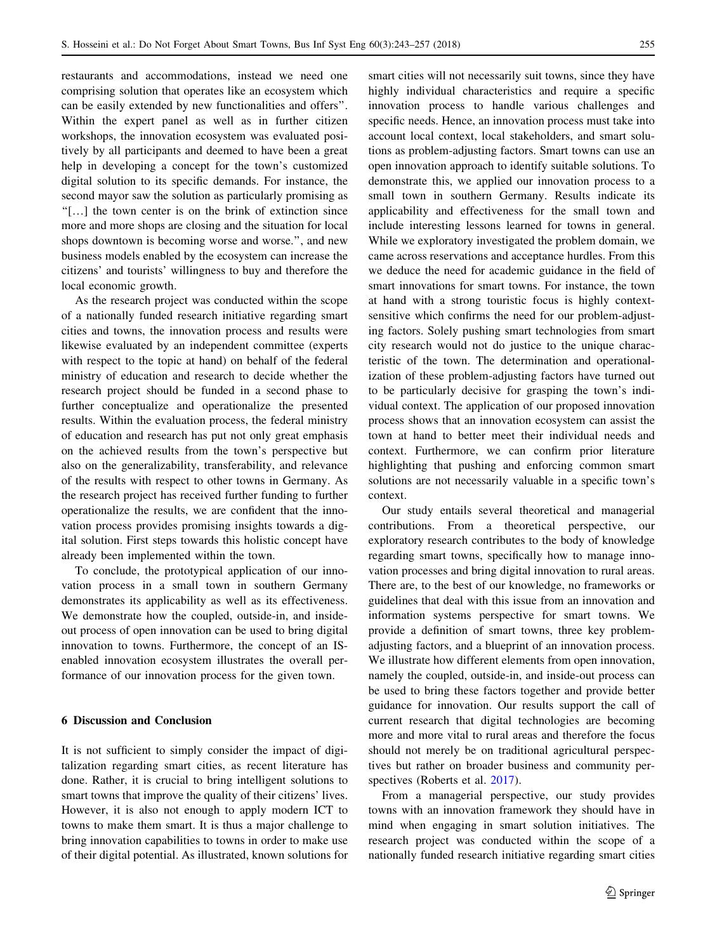<span id="page-12-0"></span>restaurants and accommodations, instead we need one comprising solution that operates like an ecosystem which can be easily extended by new functionalities and offers''. Within the expert panel as well as in further citizen workshops, the innovation ecosystem was evaluated positively by all participants and deemed to have been a great help in developing a concept for the town's customized digital solution to its specific demands. For instance, the second mayor saw the solution as particularly promising as ''[…] the town center is on the brink of extinction since more and more shops are closing and the situation for local shops downtown is becoming worse and worse.'', and new business models enabled by the ecosystem can increase the citizens' and tourists' willingness to buy and therefore the local economic growth.

As the research project was conducted within the scope of a nationally funded research initiative regarding smart cities and towns, the innovation process and results were likewise evaluated by an independent committee (experts with respect to the topic at hand) on behalf of the federal ministry of education and research to decide whether the research project should be funded in a second phase to further conceptualize and operationalize the presented results. Within the evaluation process, the federal ministry of education and research has put not only great emphasis on the achieved results from the town's perspective but also on the generalizability, transferability, and relevance of the results with respect to other towns in Germany. As the research project has received further funding to further operationalize the results, we are confident that the innovation process provides promising insights towards a digital solution. First steps towards this holistic concept have already been implemented within the town.

To conclude, the prototypical application of our innovation process in a small town in southern Germany demonstrates its applicability as well as its effectiveness. We demonstrate how the coupled, outside-in, and insideout process of open innovation can be used to bring digital innovation to towns. Furthermore, the concept of an ISenabled innovation ecosystem illustrates the overall performance of our innovation process for the given town.

# 6 Discussion and Conclusion

It is not sufficient to simply consider the impact of digitalization regarding smart cities, as recent literature has done. Rather, it is crucial to bring intelligent solutions to smart towns that improve the quality of their citizens' lives. However, it is also not enough to apply modern ICT to towns to make them smart. It is thus a major challenge to bring innovation capabilities to towns in order to make use of their digital potential. As illustrated, known solutions for smart cities will not necessarily suit towns, since they have highly individual characteristics and require a specific innovation process to handle various challenges and specific needs. Hence, an innovation process must take into account local context, local stakeholders, and smart solutions as problem-adjusting factors. Smart towns can use an open innovation approach to identify suitable solutions. To demonstrate this, we applied our innovation process to a small town in southern Germany. Results indicate its applicability and effectiveness for the small town and include interesting lessons learned for towns in general. While we exploratory investigated the problem domain, we came across reservations and acceptance hurdles. From this we deduce the need for academic guidance in the field of smart innovations for smart towns. For instance, the town at hand with a strong touristic focus is highly contextsensitive which confirms the need for our problem-adjusting factors. Solely pushing smart technologies from smart city research would not do justice to the unique characteristic of the town. The determination and operationalization of these problem-adjusting factors have turned out to be particularly decisive for grasping the town's individual context. The application of our proposed innovation process shows that an innovation ecosystem can assist the town at hand to better meet their individual needs and context. Furthermore, we can confirm prior literature highlighting that pushing and enforcing common smart solutions are not necessarily valuable in a specific town's context.

Our study entails several theoretical and managerial contributions. From a theoretical perspective, our exploratory research contributes to the body of knowledge regarding smart towns, specifically how to manage innovation processes and bring digital innovation to rural areas. There are, to the best of our knowledge, no frameworks or guidelines that deal with this issue from an innovation and information systems perspective for smart towns. We provide a definition of smart towns, three key problemadjusting factors, and a blueprint of an innovation process. We illustrate how different elements from open innovation, namely the coupled, outside-in, and inside-out process can be used to bring these factors together and provide better guidance for innovation. Our results support the call of current research that digital technologies are becoming more and more vital to rural areas and therefore the focus should not merely be on traditional agricultural perspectives but rather on broader business and community perspectives (Roberts et al. [2017\)](#page-14-0).

From a managerial perspective, our study provides towns with an innovation framework they should have in mind when engaging in smart solution initiatives. The research project was conducted within the scope of a nationally funded research initiative regarding smart cities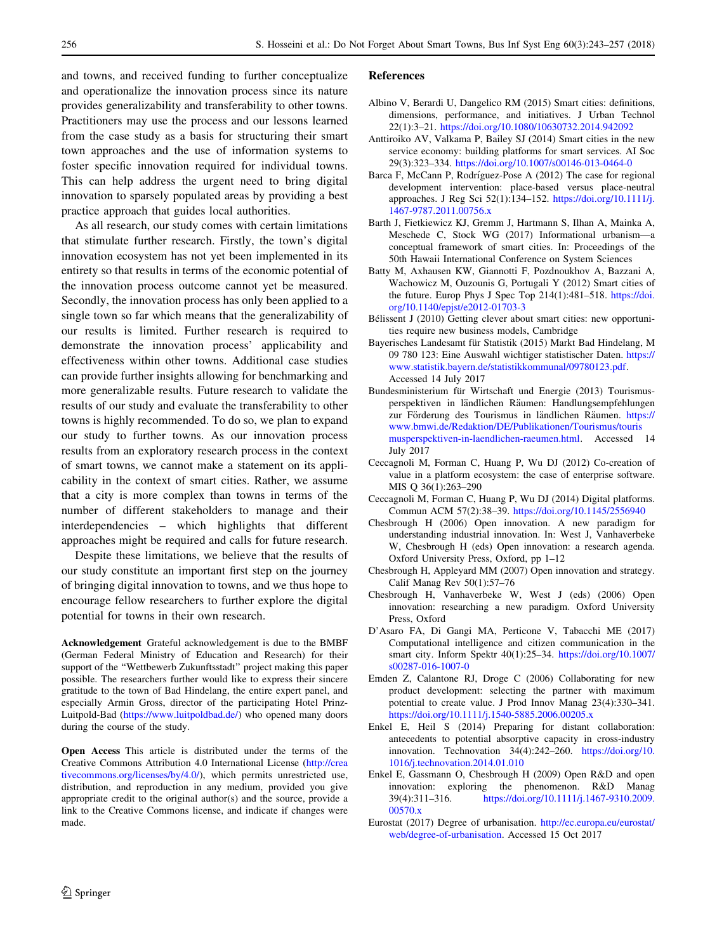<span id="page-13-0"></span>and towns, and received funding to further conceptualize and operationalize the innovation process since its nature provides generalizability and transferability to other towns. Practitioners may use the process and our lessons learned from the case study as a basis for structuring their smart town approaches and the use of information systems to foster specific innovation required for individual towns. This can help address the urgent need to bring digital innovation to sparsely populated areas by providing a best practice approach that guides local authorities.

As all research, our study comes with certain limitations that stimulate further research. Firstly, the town's digital innovation ecosystem has not yet been implemented in its entirety so that results in terms of the economic potential of the innovation process outcome cannot yet be measured. Secondly, the innovation process has only been applied to a single town so far which means that the generalizability of our results is limited. Further research is required to demonstrate the innovation process' applicability and effectiveness within other towns. Additional case studies can provide further insights allowing for benchmarking and more generalizable results. Future research to validate the results of our study and evaluate the transferability to other towns is highly recommended. To do so, we plan to expand our study to further towns. As our innovation process results from an exploratory research process in the context of smart towns, we cannot make a statement on its applicability in the context of smart cities. Rather, we assume that a city is more complex than towns in terms of the number of different stakeholders to manage and their interdependencies – which highlights that different approaches might be required and calls for future research.

Despite these limitations, we believe that the results of our study constitute an important first step on the journey of bringing digital innovation to towns, and we thus hope to encourage fellow researchers to further explore the digital potential for towns in their own research.

Acknowledgement Grateful acknowledgement is due to the BMBF (German Federal Ministry of Education and Research) for their support of the ''Wettbewerb Zukunftsstadt'' project making this paper possible. The researchers further would like to express their sincere gratitude to the town of Bad Hindelang, the entire expert panel, and especially Armin Gross, director of the participating Hotel Prinz-Luitpold-Bad ([https://www.luitpoldbad.de/\)](https://www.luitpoldbad.de/) who opened many doors during the course of the study.

Open Access This article is distributed under the terms of the Creative Commons Attribution 4.0 International License ([http://crea](http://creativecommons.org/licenses/by/4.0/) [tivecommons.org/licenses/by/4.0/\)](http://creativecommons.org/licenses/by/4.0/), which permits unrestricted use, distribution, and reproduction in any medium, provided you give appropriate credit to the original author(s) and the source, provide a link to the Creative Commons license, and indicate if changes were made.

#### References

- Albino V, Berardi U, Dangelico RM (2015) Smart cities: definitions, dimensions, performance, and initiatives. J Urban Technol 22(1):3–21. <https://doi.org/10.1080/10630732.2014.942092>
- Anttiroiko AV, Valkama P, Bailey SJ (2014) Smart cities in the new service economy: building platforms for smart services. AI Soc 29(3):323–334. <https://doi.org/10.1007/s00146-013-0464-0>
- Barca F, McCann P, Rodríguez-Pose A (2012) The case for regional development intervention: place-based versus place-neutral approaches. J Reg Sci 52(1):134–152. [https://doi.org/10.1111/j.](https://doi.org/10.1111/j.1467-9787.2011.00756.x) [1467-9787.2011.00756.x](https://doi.org/10.1111/j.1467-9787.2011.00756.x)
- Barth J, Fietkiewicz KJ, Gremm J, Hartmann S, Ilhan A, Mainka A, Meschede C, Stock WG (2017) Informational urbanism—a conceptual framework of smart cities. In: Proceedings of the 50th Hawaii International Conference on System Sciences
- Batty M, Axhausen KW, Giannotti F, Pozdnoukhov A, Bazzani A, Wachowicz M, Ouzounis G, Portugali Y (2012) Smart cities of the future. Europ Phys J Spec Top 214(1):481–518. [https://doi.](https://doi.org/10.1140/epjst/e2012-01703-3) [org/10.1140/epjst/e2012-01703-3](https://doi.org/10.1140/epjst/e2012-01703-3)
- Bélissent J (2010) Getting clever about smart cities: new opportunities require new business models, Cambridge
- Bayerisches Landesamt für Statistik (2015) Markt Bad Hindelang, M 09 780 123: Eine Auswahl wichtiger statistischer Daten. [https://](https://www.statistik.bayern.de/statistikkommunal/09780123.pdf) [www.statistik.bayern.de/statistikkommunal/09780123.pdf](https://www.statistik.bayern.de/statistikkommunal/09780123.pdf). Accessed 14 July 2017
- Bundesministerium für Wirtschaft und Energie (2013) Tourismusperspektiven in ländlichen Räumen: Handlungsempfehlungen zur Förderung des Tourismus in ländlichen Räumen. [https://](https://www.bmwi.de/Redaktion/DE/Publikationen/Tourismus/tourismusperspektiven-in-laendlichen-raeumen.html) [www.bmwi.de/Redaktion/DE/Publikationen/Tourismus/touris](https://www.bmwi.de/Redaktion/DE/Publikationen/Tourismus/tourismusperspektiven-in-laendlichen-raeumen.html) [musperspektiven-in-laendlichen-raeumen.html](https://www.bmwi.de/Redaktion/DE/Publikationen/Tourismus/tourismusperspektiven-in-laendlichen-raeumen.html). Accessed 14 July 2017
- Ceccagnoli M, Forman C, Huang P, Wu DJ (2012) Co-creation of value in a platform ecosystem: the case of enterprise software. MIS Q 36(1):263–290
- Ceccagnoli M, Forman C, Huang P, Wu DJ (2014) Digital platforms. Commun ACM 57(2):38–39. <https://doi.org/10.1145/2556940>
- Chesbrough H (2006) Open innovation. A new paradigm for understanding industrial innovation. In: West J, Vanhaverbeke W, Chesbrough H (eds) Open innovation: a research agenda. Oxford University Press, Oxford, pp 1–12
- Chesbrough H, Appleyard MM (2007) Open innovation and strategy. Calif Manag Rev 50(1):57–76
- Chesbrough H, Vanhaverbeke W, West J (eds) (2006) Open innovation: researching a new paradigm. Oxford University Press, Oxford
- D'Asaro FA, Di Gangi MA, Perticone V, Tabacchi ME (2017) Computational intelligence and citizen communication in the smart city. Inform Spektr 40(1):25–34. [https://doi.org/10.1007/](https://doi.org/10.1007/s00287-016-1007-0) [s00287-016-1007-0](https://doi.org/10.1007/s00287-016-1007-0)
- Emden Z, Calantone RJ, Droge C (2006) Collaborating for new product development: selecting the partner with maximum potential to create value. J Prod Innov Manag 23(4):330–341. <https://doi.org/10.1111/j.1540-5885.2006.00205.x>
- Enkel E, Heil S (2014) Preparing for distant collaboration: antecedents to potential absorptive capacity in cross-industry innovation. Technovation 34(4):242–260. [https://doi.org/10.](https://doi.org/10.1016/j.technovation.2014.01.010) [1016/j.technovation.2014.01.010](https://doi.org/10.1016/j.technovation.2014.01.010)
- Enkel E, Gassmann O, Chesbrough H (2009) Open R&D and open innovation: exploring the phenomenon. R&D Manag 39(4):311–316. [https://doi.org/10.1111/j.1467-9310.2009.](https://doi.org/10.1111/j.1467-9310.2009.00570.x) [00570.x](https://doi.org/10.1111/j.1467-9310.2009.00570.x)
- Eurostat (2017) Degree of urbanisation. [http://ec.europa.eu/eurostat/](http://ec.europa.eu/eurostat/web/degree-of-urbanisation) [web/degree-of-urbanisation](http://ec.europa.eu/eurostat/web/degree-of-urbanisation). Accessed 15 Oct 2017